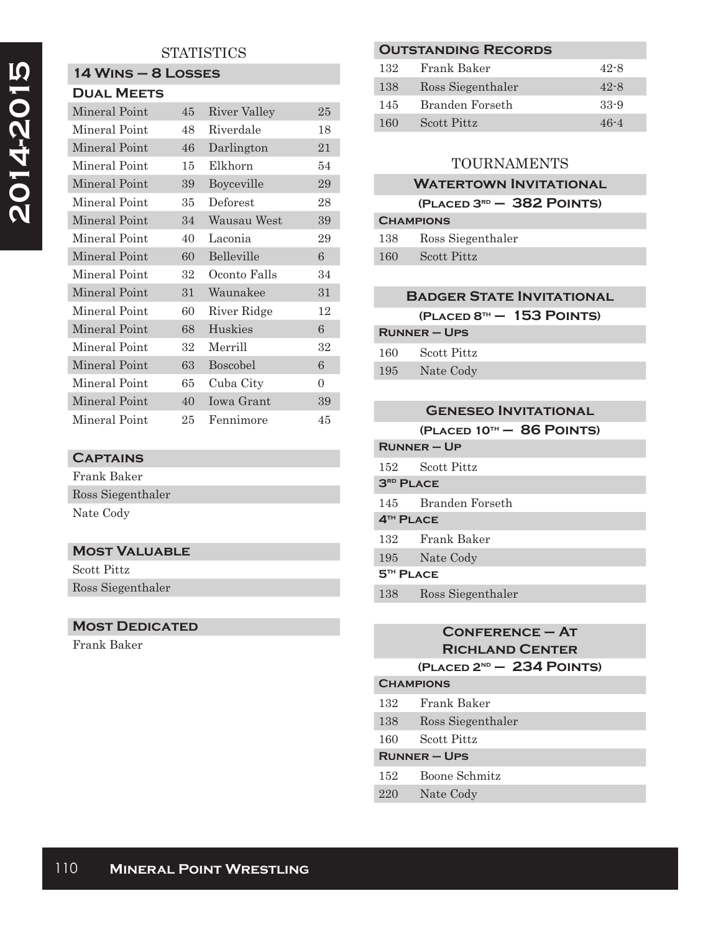# **STATISTICS**

# **14 Wins – 8 Losses**

| <b>DUAL MEETS</b> |    |                   |    |
|-------------------|----|-------------------|----|
| Mineral Point     | 45 | River Valley      | 25 |
| Mineral Point     | 48 | Riverdale         | 18 |
| Mineral Point     | 46 | Darlington        | 21 |
| Mineral Point     | 15 | Elkhorn           | 54 |
| Mineral Point     | 39 | Boyceville        | 29 |
| Mineral Point     | 35 | Deforest          | 28 |
| Mineral Point     | 34 | Wausau West       | 39 |
| Mineral Point     | 40 | Laconia           | 29 |
| Mineral Point     | 60 | Belleville        | 6  |
| Mineral Point     | 32 | Oconto Falls      | 34 |
| Mineral Point     | 31 | Waunakee          | 31 |
| Mineral Point     | 60 | River Ridge       | 12 |
| Mineral Point     | 68 | <b>Huskies</b>    | 6  |
| Mineral Point     | 32 | Merrill           | 32 |
| Mineral Point     | 63 | Boscobel          | 6  |
| Mineral Point     | 65 | Cuba City         | 0  |
| Mineral Point     | 40 | <b>Iowa Grant</b> | 39 |
| Mineral Point     | 25 | Fennimore         | 45 |

#### **Captains**

| Frank Baker       |  |  |
|-------------------|--|--|
| Ross Siegenthaler |  |  |
| Nate Cody         |  |  |

# **Most Valuable**

Scott Pittz Ross Siegenthaler

#### **MOST DEDICATED**

Frank Baker

#### **Outstanding Records**

| 132 | Frank Baker       | $42 - 8$ |
|-----|-------------------|----------|
| 138 | Ross Siegenthaler | $42 - 8$ |
| 145 | Branden Forseth   | $33-9$   |
| 160 | Scott Pittz       | $46 - 4$ |
|     |                   |          |

# TOURNAMENTS

#### **Watertown Invitational**

## **(Placed 3rd – 382 Points)**

| <b>CHAMPIONS</b> |                    |  |
|------------------|--------------------|--|
| 138              | Ross Siegenthaler  |  |
| 160              | <b>Scott Pittz</b> |  |

#### **Badger State Invitational**

**(Placed 8th – 153 Points)**

#### **Runner – Ups**

| 160 | <b>Scott Pittz</b> |
|-----|--------------------|
| 195 | Nate Cody          |

|                             | <b>GENESEO INVITATIONAL</b> |  |
|-----------------------------|-----------------------------|--|
|                             | (PLACED 10TH - 86 POINTS)   |  |
|                             | <b>RUNNER-UP</b>            |  |
|                             | 152 Scott Pittz             |  |
| <b>3RD PLACE</b>            |                             |  |
|                             | 145 Branden Forseth         |  |
| 4 <sup>TH</sup> PLACE       |                             |  |
|                             | 132 Frank Baker             |  |
|                             | 195 Nate Cody               |  |
| <b>5<sup>TH</sup> PLACE</b> |                             |  |
| 138                         | Ross Siegenthaler           |  |

## **Conference – At Richland Center (Placed 2nd – 234 Points)**

**Champions**

- 132 Frank Baker 138 Ross Siegenthaler
- 160 Scott Pittz
- **Runner Ups**
- 152 Boone Schmitz
- 220 Nate Cody